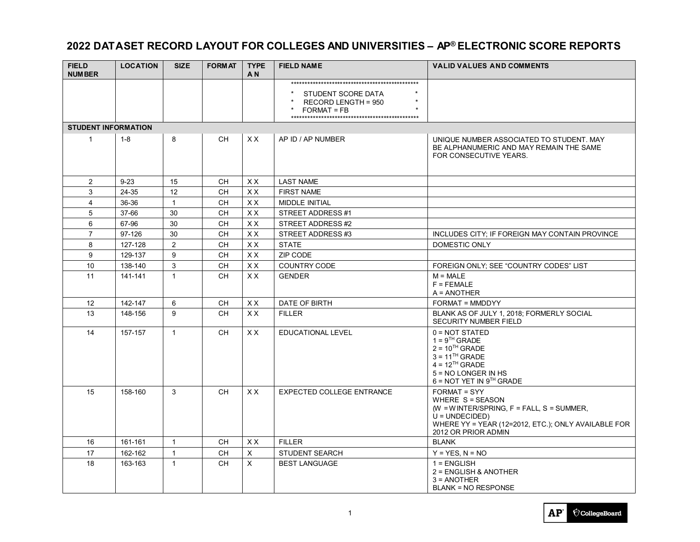### **2022 DATASET RECORD LAYOUT FOR COLLEGES AND UNIVERSITIES – AP® ELECTRONIC SCORE REPORTS**

| <b>FIELD</b><br><b>NUMBER</b> | <b>LOCATION</b> | <b>SIZE</b>    | <b>FORMAT</b> | <b>TYPE</b><br>A <sub>N</sub> | <b>FIELD NAME</b>                                          | <b>VALID VALUES AND COMMENTS</b>                                                                                                                                                     |
|-------------------------------|-----------------|----------------|---------------|-------------------------------|------------------------------------------------------------|--------------------------------------------------------------------------------------------------------------------------------------------------------------------------------------|
|                               |                 |                |               |                               | STUDENT SCORE DATA<br>RECORD LENGTH = 950<br>$FORMAT = FB$ |                                                                                                                                                                                      |
| <b>STUDENT INFORMATION</b>    |                 |                |               |                               |                                                            |                                                                                                                                                                                      |
| $\mathbf{1}$                  | $1 - 8$         | 8              | CH.           | XX.                           | AP ID / AP NUMBER                                          | UNIQUE NUMBER ASSOCIATED TO STUDENT. MAY<br>BE ALPHANUMERIC AND MAY REMAIN THE SAME<br>FOR CONSECUTIVE YEARS.                                                                        |
| $\overline{2}$                | $9 - 23$        | 15             | <b>CH</b>     | <b>XX</b>                     | <b>LAST NAME</b>                                           |                                                                                                                                                                                      |
| 3                             | 24-35           | 12             | <b>CH</b>     | XX                            | <b>FIRST NAME</b>                                          |                                                                                                                                                                                      |
| $\overline{4}$                | 36-36           | $\overline{1}$ | <b>CH</b>     | <b>XX</b>                     | <b>MIDDLE INITIAL</b>                                      |                                                                                                                                                                                      |
| 5                             | 37-66           | 30             | <b>CH</b>     | <b>XX</b>                     | STREET ADDRESS #1                                          |                                                                                                                                                                                      |
| 6                             | 67-96           | 30             | <b>CH</b>     | <b>XX</b>                     | STREET ADDRESS #2                                          |                                                                                                                                                                                      |
| $\overline{7}$                | 97-126          | 30             | <b>CH</b>     | <b>XX</b>                     | STREET ADDRESS #3                                          | INCLUDES CITY; IF FOREIGN MAY CONTAIN PROVINCE                                                                                                                                       |
| 8                             | 127-128         | $\overline{2}$ | <b>CH</b>     | XX                            | <b>STATE</b>                                               | <b>DOMESTIC ONLY</b>                                                                                                                                                                 |
| 9                             | 129-137         | 9              | <b>CH</b>     | XX                            | ZIP CODE                                                   |                                                                                                                                                                                      |
| 10                            | 138-140         | 3              | <b>CH</b>     | XX                            | COUNTRY CODE                                               | FOREIGN ONLY; SEE "COUNTRY CODES" LIST                                                                                                                                               |
| 11                            | 141-141         | $\mathbf{1}$   | CH.           | XX.                           | <b>GENDER</b>                                              | $M = MALE$<br>$F = FEMALE$<br>$A = ANOTHER$                                                                                                                                          |
| 12                            | 142-147         | 6              | CH.           | XX.                           | DATE OF BIRTH                                              | FORMAT = MMDDYY                                                                                                                                                                      |
| 13                            | 148-156         | 9              | <b>CH</b>     | XX.                           | <b>FILLER</b>                                              | BLANK AS OF JULY 1, 2018; FORMERLY SOCIAL<br><b>SECURITY NUMBER FIELD</b>                                                                                                            |
| 14                            | 157-157         | $\mathbf{1}$   | <b>CH</b>     | XX.                           | <b>EDUCATIONAL LEVEL</b>                                   | $0 = NOT STATE$<br>$1 = 9TH$ GRADE<br>$2 = 10^{TH}$ GRADE<br>$3 = 11TH$ GRADE<br>$4 = 12^{TH}$ GRADE<br>5 = NO LONGER IN HS<br>$6 = NOT YET IN 9TH GRADE$                            |
| 15                            | 158-160         | 3              | CH.           | XX.                           | <b>EXPECTED COLLEGE ENTRANCE</b>                           | <b>FORMAT = SYY</b><br>WHERE S = SEASON<br>(W = WINTER/SPRING, $F = FALL$ , S = SUMMER,<br>$U = UNDER$<br>WHERE YY = YEAR (12=2012, ETC.); ONLY AVAILABLE FOR<br>2012 OR PRIOR ADMIN |
| 16                            | 161-161         | $\overline{1}$ | <b>CH</b>     | XX                            | <b>FILLER</b>                                              | <b>BLANK</b>                                                                                                                                                                         |
| 17                            | 162-162         | $\mathbf{1}$   | <b>CH</b>     | $\mathsf X$                   | <b>STUDENT SEARCH</b>                                      | $Y = YES, N = NO$                                                                                                                                                                    |
| 18                            | 163-163         | $\mathbf{1}$   | <b>CH</b>     | X                             | <b>BEST LANGUAGE</b>                                       | $1 = ENGLISH$<br>2 = ENGLISH & ANOTHER<br>$3 = ANOTHER$<br><b>BLANK = NO RESPONSE</b>                                                                                                |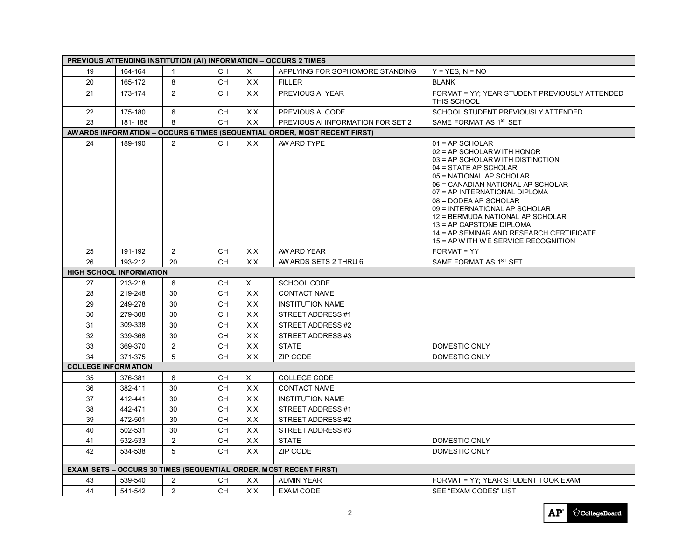| PREVIOUS ATTENDING INSTITUTION (AI) INFORMATION - OCCURS 2 TIMES  |                                                                           |    |           |           |                                   |                                                                                                                                                                                                                                                                                                                                                                                                                           |  |
|-------------------------------------------------------------------|---------------------------------------------------------------------------|----|-----------|-----------|-----------------------------------|---------------------------------------------------------------------------------------------------------------------------------------------------------------------------------------------------------------------------------------------------------------------------------------------------------------------------------------------------------------------------------------------------------------------------|--|
| 19                                                                | 164-164                                                                   | -1 | <b>CH</b> | X         | APPLYING FOR SOPHOMORE STANDING   | $Y = YES$ . $N = NO$                                                                                                                                                                                                                                                                                                                                                                                                      |  |
| 20                                                                | 165-172                                                                   | 8  | CH.       | X X       | <b>FILLER</b>                     | <b>BLANK</b>                                                                                                                                                                                                                                                                                                                                                                                                              |  |
| 21                                                                | 173-174                                                                   | 2  | <b>CH</b> | XX.       | PREVIOUS AI YEAR                  | FORMAT = YY: YEAR STUDENT PREVIOUSLY ATTENDED<br>THIS SCHOOL                                                                                                                                                                                                                                                                                                                                                              |  |
| 22                                                                | 175-180                                                                   | 6  | CН        | XX.       | PREVIOUS AI CODE                  | SCHOOL STUDENT PREVIOUSLY ATTENDED                                                                                                                                                                                                                                                                                                                                                                                        |  |
| 23                                                                | 181-188                                                                   | 8  | CН        | XX        | PREVIOUS AI INFORMATION FOR SET 2 | SAME FORMAT AS 1ST SET                                                                                                                                                                                                                                                                                                                                                                                                    |  |
|                                                                   | AWARDS INFORMATION - OCCURS 6 TIMES (SEQUENTIAL ORDER, MOST RECENT FIRST) |    |           |           |                                   |                                                                                                                                                                                                                                                                                                                                                                                                                           |  |
| 24                                                                | 189-190                                                                   | 2  | CH.       | XX.       | AW ARD TYPE                       | $01 = AP$ SCHOLAR<br>02 = AP SCHOLARWITH HONOR<br>03 = AP SCHOLARWITH DISTINCTION<br>04 = STATE AP SCHOLAR<br>05 = NATIONAL AP SCHOLAR<br>06 = CANADIAN NATIONAL AP SCHOLAR<br>07 = AP INTERNATIONAL DIPLOMA<br>08 = DODEA AP SCHOLAR<br>09 = INTERNATIONAL AP SCHOLAR<br>12 = BERMUDA NATIONAL AP SCHOLAR<br>13 = AP CAPSTONE DIPLOMA<br>14 = AP SEMINAR AND RESEARCH CERTIFICATE<br>15 = AP WITH WE SERVICE RECOGNITION |  |
| 25                                                                | 191-192                                                                   | 2  | <b>CH</b> | X X       | AW ARD YEAR                       | FORMAT = YY                                                                                                                                                                                                                                                                                                                                                                                                               |  |
| 26                                                                | 193-212                                                                   | 20 | <b>CH</b> | <b>XX</b> | AW ARDS SETS 2 THRU 6             | SAME FORMAT AS 1ST SET                                                                                                                                                                                                                                                                                                                                                                                                    |  |
| <b>HIGH SCHOOL INFORMATION</b>                                    |                                                                           |    |           |           |                                   |                                                                                                                                                                                                                                                                                                                                                                                                                           |  |
| 27                                                                | 213-218                                                                   | 6  | CН        | X         | SCHOOL CODE                       |                                                                                                                                                                                                                                                                                                                                                                                                                           |  |
| 28                                                                | 219-248                                                                   | 30 | <b>CH</b> | <b>XX</b> | <b>CONTACT NAME</b>               |                                                                                                                                                                                                                                                                                                                                                                                                                           |  |
| 29                                                                | 249-278                                                                   | 30 | CH        | XX        | <b>INSTITUTION NAME</b>           |                                                                                                                                                                                                                                                                                                                                                                                                                           |  |
| 30                                                                | 279-308                                                                   | 30 | <b>CH</b> | XX        | STREET ADDRESS #1                 |                                                                                                                                                                                                                                                                                                                                                                                                                           |  |
| 31                                                                | 309-338                                                                   | 30 | <b>CH</b> | <b>XX</b> | STREET ADDRESS #2                 |                                                                                                                                                                                                                                                                                                                                                                                                                           |  |
| 32                                                                | 339-368                                                                   | 30 | <b>CH</b> | <b>XX</b> | STREET ADDRESS #3                 |                                                                                                                                                                                                                                                                                                                                                                                                                           |  |
| 33                                                                | 369-370                                                                   | 2  | <b>CH</b> | XX        | <b>STATE</b>                      | DOMESTIC ONLY                                                                                                                                                                                                                                                                                                                                                                                                             |  |
| 34                                                                | 371-375                                                                   | 5  | <b>CH</b> | XX        | ZIP CODE                          | DOMESTIC ONLY                                                                                                                                                                                                                                                                                                                                                                                                             |  |
| <b>COLLEGE INFORM ATION</b>                                       |                                                                           |    |           |           |                                   |                                                                                                                                                                                                                                                                                                                                                                                                                           |  |
| 35                                                                | 376-381                                                                   | 6  | CН        | X         | <b>COLLEGE CODE</b>               |                                                                                                                                                                                                                                                                                                                                                                                                                           |  |
| 36                                                                | 382-411                                                                   | 30 | <b>CH</b> | <b>XX</b> | <b>CONTACT NAME</b>               |                                                                                                                                                                                                                                                                                                                                                                                                                           |  |
| 37                                                                | 412-441                                                                   | 30 | <b>CH</b> | XX.       | <b>INSTITUTION NAME</b>           |                                                                                                                                                                                                                                                                                                                                                                                                                           |  |
| 38                                                                | 442-471                                                                   | 30 | <b>CH</b> | XX.       | STREET ADDRESS#1                  |                                                                                                                                                                                                                                                                                                                                                                                                                           |  |
| 39                                                                | 472-501                                                                   | 30 | CH        | <b>XX</b> | STREET ADDRESS #2                 |                                                                                                                                                                                                                                                                                                                                                                                                                           |  |
| 40                                                                | 502-531                                                                   | 30 | CН        | X X       | STREET ADDRESS #3                 |                                                                                                                                                                                                                                                                                                                                                                                                                           |  |
| 41                                                                | 532-533                                                                   | 2  | CН        | XX        | <b>STATE</b>                      | DOMESTIC ONLY                                                                                                                                                                                                                                                                                                                                                                                                             |  |
| 42                                                                | 534-538                                                                   | 5  | CH.       | XX.       | ZIP CODE                          | <b>DOMESTIC ONLY</b>                                                                                                                                                                                                                                                                                                                                                                                                      |  |
| EXAM SETS - OCCURS 30 TIMES (SEQUENTIAL ORDER, MOST RECENT FIRST) |                                                                           |    |           |           |                                   |                                                                                                                                                                                                                                                                                                                                                                                                                           |  |
| 43                                                                | 539-540                                                                   | 2  | <b>CH</b> | X X       | <b>ADMIN YEAR</b>                 | FORMAT = YY; YEAR STUDENT TOOK EXAM                                                                                                                                                                                                                                                                                                                                                                                       |  |
| 44                                                                | 541-542                                                                   | 2  | <b>CH</b> | <b>XX</b> | <b>EXAM CODE</b>                  | SEE "EXAM CODES" LIST                                                                                                                                                                                                                                                                                                                                                                                                     |  |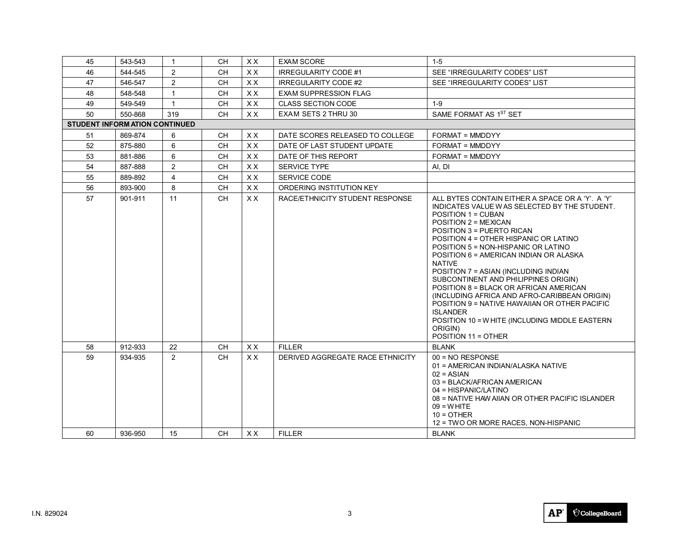| 45                                    | 543-543 | $\overline{1}$ | <b>CH</b> | XX.       | <b>EXAM SCORE</b>                | $1 - 5$                                                                                                                                                                                                                                                                                                                                                                                                                                                                                                                                                                                                                                                  |
|---------------------------------------|---------|----------------|-----------|-----------|----------------------------------|----------------------------------------------------------------------------------------------------------------------------------------------------------------------------------------------------------------------------------------------------------------------------------------------------------------------------------------------------------------------------------------------------------------------------------------------------------------------------------------------------------------------------------------------------------------------------------------------------------------------------------------------------------|
| 46                                    | 544-545 | 2              | <b>CH</b> | <b>XX</b> | <b>IRREGULARITY CODE #1</b>      | SEE "IRREGULARITY CODES" LIST                                                                                                                                                                                                                                                                                                                                                                                                                                                                                                                                                                                                                            |
| 47                                    | 546-547 | 2              | <b>CH</b> | <b>XX</b> | <b>IRREGULARITY CODE #2</b>      | SEE "IRREGULARITY CODES" LIST                                                                                                                                                                                                                                                                                                                                                                                                                                                                                                                                                                                                                            |
| 48                                    | 548-548 | $\overline{1}$ | <b>CH</b> | XX        | <b>EXAM SUPPRESSION FLAG</b>     |                                                                                                                                                                                                                                                                                                                                                                                                                                                                                                                                                                                                                                                          |
| 49                                    | 549-549 | $\overline{1}$ | <b>CH</b> | XX        | <b>CLASS SECTION CODE</b>        | $1 - 9$                                                                                                                                                                                                                                                                                                                                                                                                                                                                                                                                                                                                                                                  |
| 50                                    | 550-868 | 319            | <b>CH</b> | <b>XX</b> | EXAM SETS 2 THRU 30              | SAME FORMAT AS 1ST SET                                                                                                                                                                                                                                                                                                                                                                                                                                                                                                                                                                                                                                   |
| <b>STUDENT INFORM ATION CONTINUED</b> |         |                |           |           |                                  |                                                                                                                                                                                                                                                                                                                                                                                                                                                                                                                                                                                                                                                          |
| 51                                    | 869-874 | 6              | <b>CH</b> | <b>XX</b> | DATE SCORES RELEASED TO COLLEGE  | FORMAT = MMDDYY                                                                                                                                                                                                                                                                                                                                                                                                                                                                                                                                                                                                                                          |
| 52                                    | 875-880 | 6              | <b>CH</b> | <b>XX</b> | DATE OF LAST STUDENT UPDATE      | FORMAT = MMDDYY                                                                                                                                                                                                                                                                                                                                                                                                                                                                                                                                                                                                                                          |
| 53                                    | 881-886 | 6              | <b>CH</b> | XX        | DATE OF THIS REPORT              | <b>FORMAT = MMDDYY</b>                                                                                                                                                                                                                                                                                                                                                                                                                                                                                                                                                                                                                                   |
| 54                                    | 887-888 | 2              | <b>CH</b> | XX        | <b>SERVICE TYPE</b>              | AI, DI                                                                                                                                                                                                                                                                                                                                                                                                                                                                                                                                                                                                                                                   |
| 55                                    | 889-892 | $\overline{4}$ | <b>CH</b> | <b>XX</b> | <b>SERVICE CODE</b>              |                                                                                                                                                                                                                                                                                                                                                                                                                                                                                                                                                                                                                                                          |
| $\overline{56}$                       | 893-900 | 8              | <b>CH</b> | XX        | ORDERING INSTITUTION KEY         |                                                                                                                                                                                                                                                                                                                                                                                                                                                                                                                                                                                                                                                          |
| 57                                    | 901-911 | 11             | CH.       | <b>XX</b> | RACE/ETHNICITY STUDENT RESPONSE  | ALL BYTES CONTAIN EITHER A SPACE OR A 'Y'. A 'Y'<br>INDICATES VALUE WAS SELECTED BY THE STUDENT.<br>POSITION 1 = CUBAN<br>POSITION 2 = MEXICAN<br>POSITION 3 = PUERTO RICAN<br>POSITION 4 = OTHER HISPANIC OR LATINO<br>POSITION 5 = NON-HISPANIC OR LATINO<br>POSITION 6 = AMERICAN INDIAN OR ALASKA<br><b>NATIVE</b><br>POSITION 7 = ASIAN (INCLUDING INDIAN<br>SUBCONTINENT AND PHILIPPINES ORIGIN)<br>POSITION 8 = BLACK OR AFRICAN AMERICAN<br>(INCLUDING AFRICA AND AFRO-CARIBBEAN ORIGIN)<br>POSITION 9 = NATIVE HAWAIIAN OR OTHER PACIFIC<br><b>ISLANDER</b><br>POSITION 10 = W HITE (INCLUDING MIDDLE EASTERN<br>ORIGIN)<br>POSITION 11 = OTHER |
| 58                                    | 912-933 | 22             | <b>CH</b> | <b>XX</b> | <b>FILLER</b>                    | <b>BLANK</b>                                                                                                                                                                                                                                                                                                                                                                                                                                                                                                                                                                                                                                             |
| 59                                    | 934-935 | 2              | CH.       | <b>XX</b> | DERIVED AGGREGATE RACE ETHNICITY | $00 = NO$ RESPONSE<br>01 = AMERICAN INDIAN/ALASKA NATIVE<br>$02 = ASIAN$<br>03 = BLACK/AFRICAN AMERICAN<br>04 = HISPANIC/LATINO<br>08 = NATIVE HAW AIIAN OR OTHER PACIFIC ISLANDER<br>$09 = W$ HITE<br>$10 =$ OTHER<br>12 = TWO OR MORE RACES, NON-HISPANIC                                                                                                                                                                                                                                                                                                                                                                                              |
| 60                                    | 936-950 | 15             | CH.       | XX.       | <b>FILLER</b>                    | <b>BLANK</b>                                                                                                                                                                                                                                                                                                                                                                                                                                                                                                                                                                                                                                             |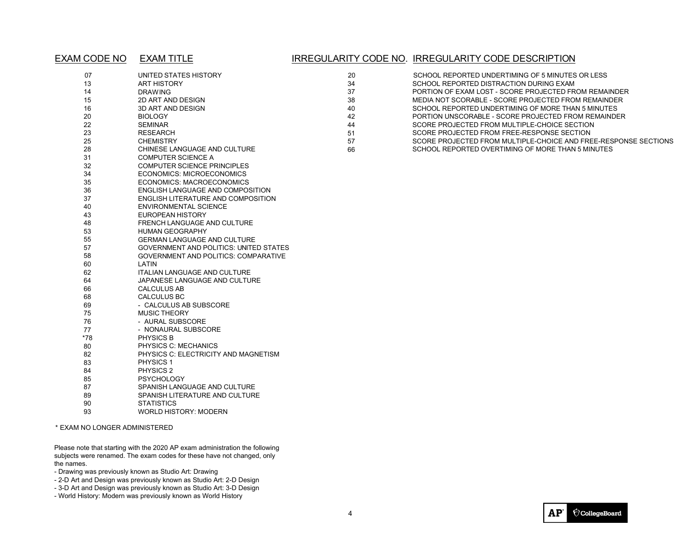#### EXAM CODE NO EXAM TITLE

### IRREGULARITY CODE NO. IRREGULARITY CODE DESCRIPTION

| 07  | UNITED STATES HISTORY                         | 20 |
|-----|-----------------------------------------------|----|
| 13  | <b>ART HISTORY</b>                            | 34 |
| 14  | <b>DRAWING</b>                                | 37 |
| 15  | 2D ART AND DESIGN                             | 38 |
| 16  | 3D ART AND DESIGN                             | 40 |
| 20  | <b>BIOLOGY</b>                                | 42 |
| 22  | <b>SEMINAR</b>                                | 44 |
| 23  | <b>RESEARCH</b>                               | 51 |
| 25  | <b>CHEMISTRY</b>                              | 57 |
| 28  | CHINESE LANGUAGE AND CULTURE                  | 66 |
| 31  | <b>COMPUTER SCIENCE A</b>                     |    |
| 32  | <b>COMPUTER SCIENCE PRINCIPLES</b>            |    |
| 34  | <b>ECONOMICS: MICROECONOMICS</b>              |    |
| 35  | <b>ECONOMICS: MACROECONOMICS</b>              |    |
| 36  | ENGLISH LANGUAGE AND COMPOSITION              |    |
| 37  | ENGLISH LITERATURE AND COMPOSITION            |    |
| 40  | <b>ENVIRONMENTAL SCIENCE</b>                  |    |
| 43  | EUROPEAN HISTORY                              |    |
| 48  | FRENCH LANGUAGE AND CULTURE                   |    |
| 53  | <b>HUMAN GEOGRAPHY</b>                        |    |
| 55  | <b>GERMAN LANGUAGE AND CULTURE</b>            |    |
| 57  | <b>GOVERNMENT AND POLITICS: UNITED STATES</b> |    |
| 58  | <b>GOVERNMENT AND POLITICS: COMPARATIVE</b>   |    |
| 60  | LATIN                                         |    |
| 62  | <b>ITALIAN LANGUAGE AND CULTURE</b>           |    |
| 64  | JAPANESE LANGUAGE AND CULTURE                 |    |
| 66  | CALCULUS AB                                   |    |
| 68  | <b>CALCULUS BC</b>                            |    |
| 69  | - CALCULUS AB SUBSCORE                        |    |
| 75  | <b>MUSIC THEORY</b>                           |    |
| 76  | - AURAL SUBSCORE                              |    |
| 77  | - NONAURAL SUBSCORE                           |    |
| *78 | PHYSICS B                                     |    |
| 80  | PHYSICS C: MECHANICS                          |    |
| 82  | PHYSICS C: ELECTRICITY AND MAGNETISM          |    |
| 83  | <b>PHYSICS 1</b>                              |    |
| 84  | PHYSICS <sub>2</sub>                          |    |
| 85  | <b>PSYCHOLOGY</b>                             |    |
| 87  | SPANISH LANGUAGE AND CULTURE                  |    |
| 89  | SPANISH LITERATURE AND CULTURE                |    |
| 90  | <b>STATISTICS</b>                             |    |
| 93  | <b>WORLD HISTORY: MODERN</b>                  |    |

\* EXAM NO LONGER ADMINISTERED

Please note that starting with the 2020 AP exam administration the following subjects were renamed. The exam codes for these have not changed, only the names.

- Drawing was previously known as Studio Art: Drawing
- 2-D Art and Design was previously known as Studio Art: 2-D Design
- 3-D Art and Design was previously known as Studio Art: 3-D Design
- World History: Modern was previously known as World History

| -20 | SCHOOL REPORTED UNDERTIMING OF 5 MINUTES OR LESS                |
|-----|-----------------------------------------------------------------|
| 34  | SCHOOL REPORTED DISTRACTION DURING EXAM                         |
| -37 | PORTION OF EXAM LOST - SCORE PROJECTED FROM REMAINDER           |
| 38  | MEDIA NOT SCORABLE - SCORE PROJECTED FROM REMAINDER             |
| 40  | SCHOOL REPORTED UNDERTIMING OF MORE THAN 5 MINUTES              |
| 42  | PORTION UNSCORABLE - SCORE PROJECTED FROM REMAINDER             |
| 44  | SCORE PROJECTED FROM MULTIPLE-CHOICE SECTION                    |
| 51  | SCORE PROJECTED FROM FREE-RESPONSE SECTION                      |
| 57  | SCORE PROJECTED FROM MULTIPLE-CHOICE AND FREE-RESPONSE SECTIONS |
|     |                                                                 |

SCHOOL REPORTED OVERTIMING OF MORE THAN 5 MINUTES

4

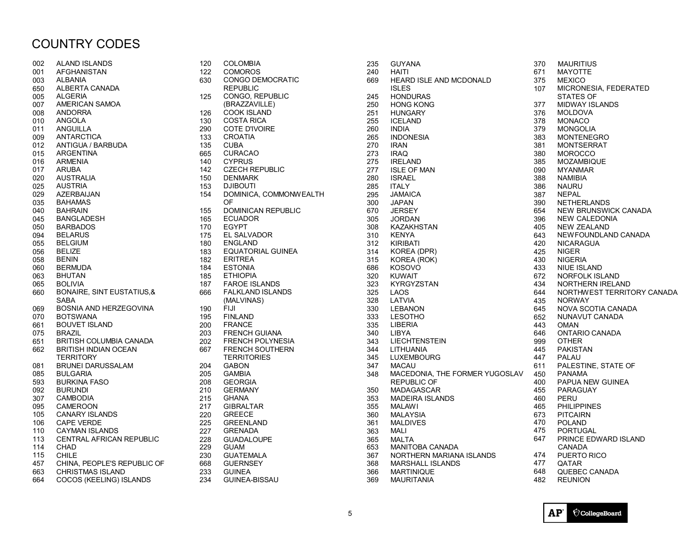## COUNTRY CODES

| 002 | <b>ALAND ISLANDS</b>            |
|-----|---------------------------------|
| 001 | AFGHANISTAN                     |
| 003 | <b>ALBANIA</b>                  |
| 650 | ALBERTA CANADA                  |
| 005 | <b>ALGERIA</b>                  |
| 007 | AMERICAN SAMOA                  |
| 008 | <b>ANDORRA</b>                  |
| 010 | ANGOLA                          |
|     | ANGUILLA                        |
| 011 |                                 |
| 009 | <b>ANTARCTICA</b>               |
| 012 | ANTIGUA / BARBUDA               |
| 015 | <b>ARGENTINA</b>                |
| 016 | <b>ARMENIA</b>                  |
| 017 | <b>ARUBA</b>                    |
| 020 | AUSTRALIA                       |
| 025 | <b>AUSTRIA</b>                  |
| 029 | AZERBAIJAN                      |
| 035 | <b>BAHAMAS</b>                  |
| 040 | <b>BAHRAIN</b>                  |
| 045 | <b>BANGLADESH</b>               |
| 050 | <b>BARBADOS</b>                 |
| 094 | <b>BELARUS</b>                  |
| 055 | <b>BELGIUM</b>                  |
| 056 | <b>BELIZE</b>                   |
| 058 | <b>BENIN</b>                    |
| 060 | <b>BERMUDA</b>                  |
|     |                                 |
| 063 | BHUTAN                          |
| 065 | <b>BOLIVIA</b>                  |
| 660 | BONAIRE, SINT EUSTATIUS, &      |
|     | SABA                            |
| 069 | BOSNIA AND HERZEGOVINA          |
| 070 | <b>BOTSWANA</b>                 |
| 661 | <b>BOUVET ISLAND</b>            |
| 075 | <b>BRAZIL</b>                   |
| 651 | <b>BRITISH COLUMBIA CANADA</b>  |
| 662 | BRITISH INDIAN OCEAN            |
|     | TERRITORY                       |
| 081 | <b>BRUNEI DARUSSALAM</b>        |
| 085 | BULGARIA                        |
| 593 | <b>BURKINA FASO</b>             |
| 092 | <b>BURUNDI</b>                  |
| 307 | <b>CAMBODIA</b>                 |
| 095 | CAMEROON                        |
| 105 | <b>CANARY ISLANDS</b>           |
| 106 | <b>CAPE VERDE</b>               |
| 110 | <b>CAYMAN ISLANDS</b>           |
|     |                                 |
| 113 | <b>CENTRAL AFRICAN REPUBLIC</b> |
| 114 | CHAD                            |
| 115 | CHILE                           |
| 457 | CHINA, PEOPLE'S REPUBLIC OF     |
| 663 | <b>CHRISTMAS ISLAND</b>         |
| 664 | <b>COCOS (KEELING) ISLANDS</b>  |

| 120 | <b>COLOMBIA</b>           |
|-----|---------------------------|
| 122 | <b>COMOROS</b>            |
| 630 | <b>CONGO DEMOCRATIC</b>   |
|     | <b>REPUBLIC</b>           |
| 125 | <b>CONGO, REPUBLIC</b>    |
|     | (BRAZZAVILLE)             |
| 126 | <b>COOK ISLAND</b>        |
| 130 | <b>COSTA RICA</b>         |
| 290 | COTE D'IVOIRE             |
| 133 | CROATIA                   |
| 135 | <b>CUBA</b>               |
| 665 | <b>CURACAO</b>            |
| 140 | <b>CYPRUS</b>             |
| 142 | <b>CZECH REPUBLIC</b>     |
| 150 | <b>DENMARK</b>            |
| 153 | DJIBOUTI                  |
| 154 | DOMINICA, COMMONWEALTH    |
|     | OF                        |
| 155 | <b>DOMINICAN REPUBLIC</b> |
| 165 | <b>ECUADOR</b>            |
| 170 | <b>EGYPT</b>              |
| 175 | EL SALVADOR               |
| 180 | <b>ENGLAND</b>            |
| 183 | <b>EQUATORIAL GUINEA</b>  |
| 182 | <b>ERITREA</b>            |
| 184 | <b>ESTONIA</b>            |
| 185 | <b>ETHIOPIA</b>           |
| 187 | <b>FAROE ISLANDS</b>      |
| 666 | <b>FALKLAND ISLANDS</b>   |
|     | (MALVINAS)                |
| 190 | FIJI                      |
| 195 | <b>FINLAND</b>            |
| 200 | <b>FRANCE</b>             |
| 203 | <b>FRENCH GUIANA</b>      |
| 202 | <b>FRENCH POLYNESIA</b>   |
| 667 | <b>FRENCH SOUTHERN</b>    |
|     | TERRITORIES               |
| 204 | GABON                     |
| 205 | <b>GAMBIA</b>             |
| 208 | <b>GEORGIA</b>            |
| 210 | <b>GERMANY</b>            |
| 215 | <b>GHANA</b>              |
| 217 | <b>GIBRALTAR</b>          |
| 220 | <b>GREECE</b>             |
| 225 | <b>GREENLAND</b>          |
| 227 | <b>GRENADA</b>            |
| 228 | <b>GUADALOUPE</b>         |
| 229 | <b>GUAM</b>               |
| 230 | <b>GUATEMALA</b>          |
| 668 | <b>GUERNSEY</b>           |
| 233 | <b>GUINEA</b>             |
| 234 | <b>GUINEA-BISSAU</b>      |

| 235 | GUYANA                         | 370 |
|-----|--------------------------------|-----|
| 240 | HAITI                          | 671 |
| 669 | HEARD ISLE AND MCDONALD        | 375 |
|     | <b>ISLES</b>                   | 107 |
| 245 | <b>HONDURAS</b>                |     |
| 250 | <b>HONG KONG</b>               | 377 |
| 251 | <b>HUNGARY</b>                 | 376 |
| 255 | <b>ICELAND</b>                 | 378 |
| 260 | <b>INDIA</b>                   | 379 |
| 265 | <b>INDONESIA</b>               | 383 |
| 270 | <b>IRAN</b>                    | 381 |
| 273 | <b>IRAQ</b>                    | 380 |
| 275 | <b>IRELAND</b>                 | 385 |
| 277 | <b>ISLE OF MAN</b>             | 090 |
| 280 | <b>ISRAEL</b>                  | 388 |
| 285 | <b>ITALY</b>                   | 386 |
| 295 | JAMAICA                        | 387 |
| 300 | <b>JAPAN</b>                   | 390 |
| 670 | <b>JERSEY</b>                  | 654 |
| 305 | <b>JORDAN</b>                  | 396 |
| 308 | KAZAKHSTAN                     | 405 |
| 310 | <b>KENYA</b>                   | 643 |
| 312 | <b>KIRIBATI</b>                | 420 |
| 314 | KOREA (DPR)                    | 425 |
| 315 | KOREA (ROK)                    | 430 |
| 686 | KOSOVO                         | 433 |
| 320 | KUWAIT                         | 672 |
| 323 | <b>KYRGYZSTAN</b>              | 434 |
| 325 | LAOS                           | 644 |
| 328 | LATVIA                         | 435 |
| 330 | <b>LEBANON</b>                 | 645 |
| 333 | <b>LESOTHO</b>                 | 652 |
| 335 | <b>LIBERIA</b>                 | 443 |
| 340 | <b>LIBYA</b>                   | 646 |
| 343 | <b>LIECHTENSTEIN</b>           | 999 |
| 344 | <b>LITHUANIA</b>               | 445 |
| 345 | LUXEMBOURG                     | 447 |
| 347 | <b>MACAU</b>                   | 611 |
| 348 | MACEDONIA, THE FORMER YUGOSLAV | 450 |
|     | <b>REPUBLIC OF</b>             | 400 |
| 350 | MADAGASCAR                     | 455 |
| 353 | <b>MADEIRA ISLANDS</b>         | 460 |
| 355 | MALAWI                         | 465 |
| 360 | MALAYSIA                       | 673 |
| 361 | MALDIVES                       | 470 |
| 363 | <b>MALI</b>                    | 475 |
| 365 | <b>MALTA</b>                   | 647 |
| 653 | <b>MANITOBA CANADA</b>         |     |
| 367 | NORTHERN MARIANA ISLANDS       | 474 |
| 368 | <b>MARSHALL ISLANDS</b>        | 477 |
| 366 | MARTINIQUE                     | 648 |
| 369 | MAURITANIA                     | 482 |
|     |                                |     |

**MAURITIUS MAYOTTE MEXICO** MICRONESIA, FEDERATED STATES OF MIDWAY ISLANDS **MOLDOVA MONACO MONGOLIA MONTENEGRO MONTSERRAT MOROCCO MOZAMBIQUE MYANMAR NAMIBIA NAURU NEPAL NETHERLANDS NEW BRUNSWICK CANADA** NEW CALEDONIA NEW ZEALAND NEW FOUNDLAND CANADA **NICARAGUA NIGER NIGERIA** NIUE ISLAND NORFOLK ISLAND 434 NORTHERN IRELAND NORTHWEST TERRITORY CANADA **NORWAY** 645 NOVA SCOTIA CANADA NUNAVUT CANADA **OMAN** ONTARIO CANADA **OTHER PAKISTAN PALAU** PALESTINE, STATE OF **PANAMA** PAPUA NEW GUINEA **PARAGUAY PERU PHILIPPINES PITCAIRN** POLAND **PORTUGAL** PRINCE EDWARD ISLAND CANADA PUERTO RICO **QATAR** QUEBEC CANADA **REUNION**